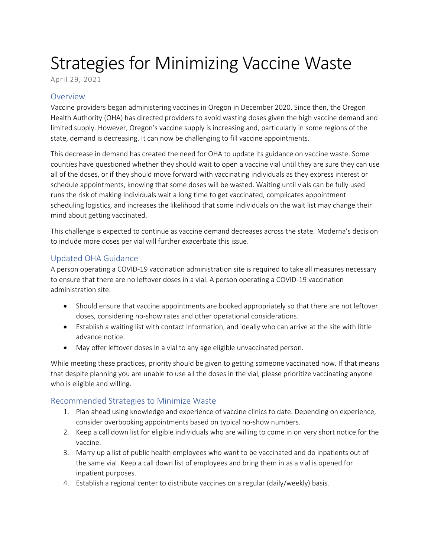## Strategies for Minimizing Vaccine Waste

April 29, 2021

## Overview

Vaccine providers began administering vaccines in Oregon in December 2020. Since then, the Oregon Health Authority (OHA) has directed providers to avoid wasting doses given the high vaccine demand and limited supply. However, Oregon's vaccine supply is increasing and, particularly in some regions of the state, demand is decreasing. It can now be challenging to fill vaccine appointments.

This decrease in demand has created the need for OHA to update its guidance on vaccine waste. Some counties have questioned whether they should wait to open a vaccine vial until they are sure they can use all of the doses, or if they should move forward with vaccinating individuals as they express interest or schedule appointments, knowing that some doses will be wasted. Waiting until vials can be fully used runs the risk of making individuals wait a long time to get vaccinated, complicates appointment scheduling logistics, and increases the likelihood that some individuals on the wait list may change their mind about getting vaccinated.

This challenge is expected to continue as vaccine demand decreases across the state. Moderna's decision to include more doses per vial will further exacerbate this issue.

## Updated OHA Guidance

A person operating a COVID-19 vaccination administration site is required to take all measures necessary to ensure that there are no leftover doses in a vial. A person operating a COVID-19 vaccination administration site:

- Should ensure that vaccine appointments are booked appropriately so that there are not leftover doses, considering no-show rates and other operational considerations.
- Establish a waiting list with contact information, and ideally who can arrive at the site with little advance notice.
- May offer leftover doses in a vial to any age eligible unvaccinated person.

While meeting these practices, priority should be given to getting someone vaccinated now. If that means that despite planning you are unable to use all the doses in the vial, please prioritize vaccinating anyone who is eligible and willing.

## Recommended Strategies to Minimize Waste

- 1. Plan ahead using knowledge and experience of vaccine clinics to date. Depending on experience, consider overbooking appointments based on typical no-show numbers.
- 2. Keep a call down list for eligible individuals who are willing to come in on very short notice for the vaccine.
- 3. Marry up a list of public health employees who want to be vaccinated and do inpatients out of the same vial. Keep a call down list of employees and bring them in as a vial is opened for inpatient purposes.
- 4. Establish a regional center to distribute vaccines on a regular (daily/weekly) basis.